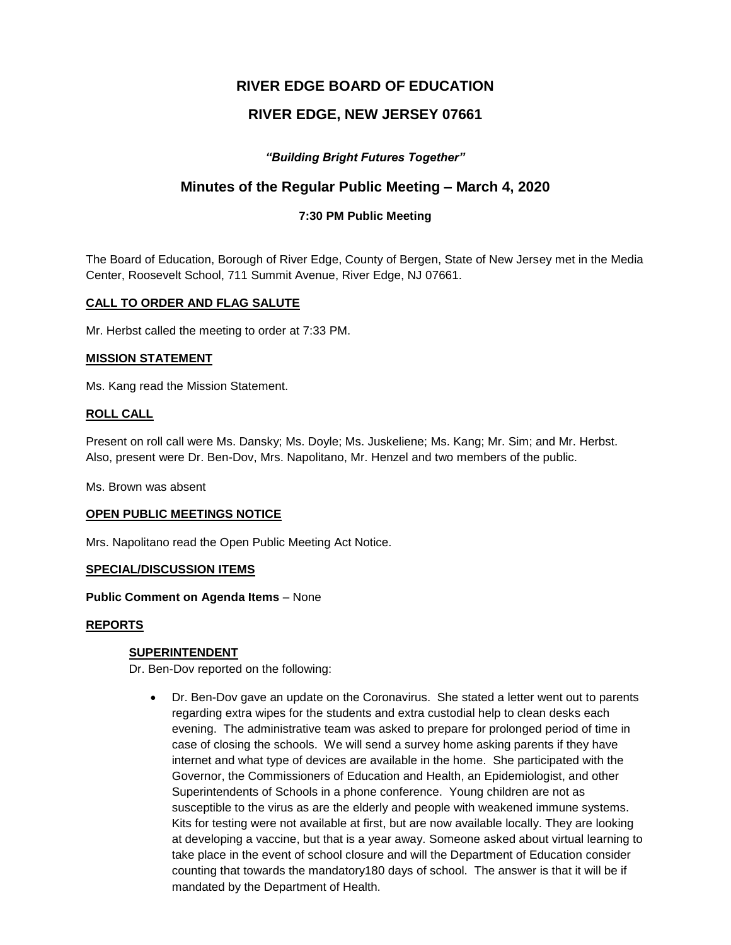# **RIVER EDGE BOARD OF EDUCATION**

# **RIVER EDGE, NEW JERSEY 07661**

## *"Building Bright Futures Together"*

## **Minutes of the Regular Public Meeting – March 4, 2020**

## **7:30 PM Public Meeting**

The Board of Education, Borough of River Edge, County of Bergen, State of New Jersey met in the Media Center, Roosevelt School, 711 Summit Avenue, River Edge, NJ 07661.

## **CALL TO ORDER AND FLAG SALUTE**

Mr. Herbst called the meeting to order at 7:33 PM.

#### **MISSION STATEMENT**

Ms. Kang read the Mission Statement.

#### **ROLL CALL**

Present on roll call were Ms. Dansky; Ms. Doyle; Ms. Juskeliene; Ms. Kang; Mr. Sim; and Mr. Herbst. Also, present were Dr. Ben-Dov, Mrs. Napolitano, Mr. Henzel and two members of the public.

Ms. Brown was absent

#### **OPEN PUBLIC MEETINGS NOTICE**

Mrs. Napolitano read the Open Public Meeting Act Notice.

#### **SPECIAL/DISCUSSION ITEMS**

**Public Comment on Agenda Items** – None

#### **REPORTS**

#### **SUPERINTENDENT**

Dr. Ben-Dov reported on the following:

 Dr. Ben-Dov gave an update on the Coronavirus. She stated a letter went out to parents regarding extra wipes for the students and extra custodial help to clean desks each evening. The administrative team was asked to prepare for prolonged period of time in case of closing the schools. We will send a survey home asking parents if they have internet and what type of devices are available in the home. She participated with the Governor, the Commissioners of Education and Health, an Epidemiologist, and other Superintendents of Schools in a phone conference. Young children are not as susceptible to the virus as are the elderly and people with weakened immune systems. Kits for testing were not available at first, but are now available locally. They are looking at developing a vaccine, but that is a year away. Someone asked about virtual learning to take place in the event of school closure and will the Department of Education consider counting that towards the mandatory180 days of school. The answer is that it will be if mandated by the Department of Health.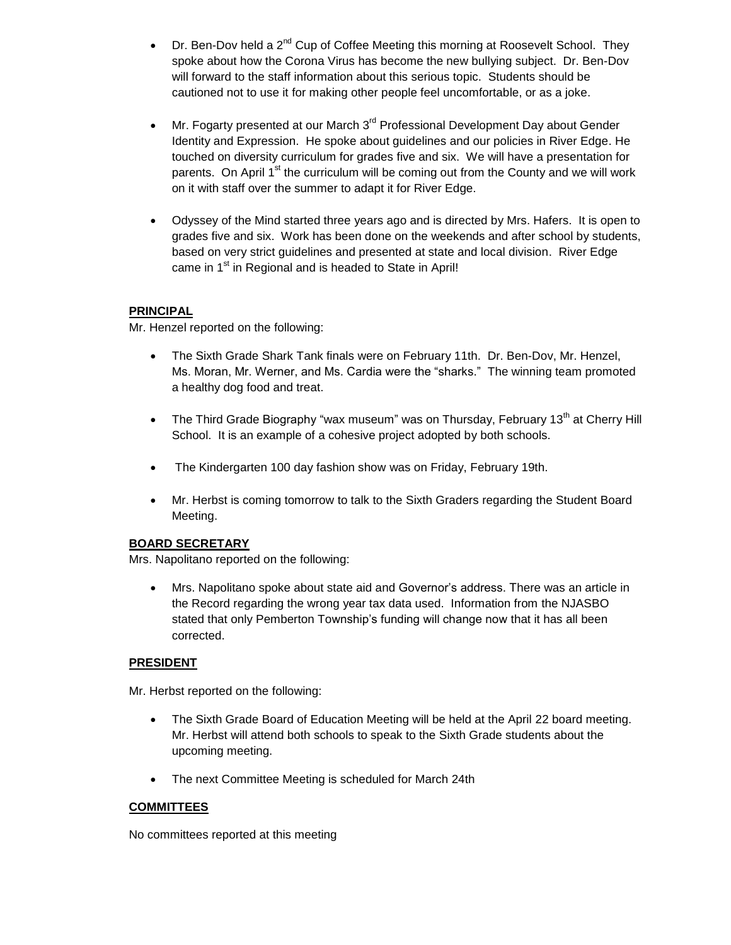- Dr. Ben-Dov held a  $2^{nd}$  Cup of Coffee Meeting this morning at Roosevelt School. They spoke about how the Corona Virus has become the new bullying subject. Dr. Ben-Dov will forward to the staff information about this serious topic. Students should be cautioned not to use it for making other people feel uncomfortable, or as a joke.
- Mr. Fogarty presented at our March  $3^{rd}$  Professional Development Day about Gender Identity and Expression. He spoke about guidelines and our policies in River Edge. He touched on diversity curriculum for grades five and six. We will have a presentation for parents. On April  $1<sup>st</sup>$  the curriculum will be coming out from the County and we will work on it with staff over the summer to adapt it for River Edge.
- Odyssey of the Mind started three years ago and is directed by Mrs. Hafers. It is open to grades five and six. Work has been done on the weekends and after school by students, based on very strict guidelines and presented at state and local division. River Edge came in 1<sup>st</sup> in Regional and is headed to State in April!

## **PRINCIPAL**

Mr. Henzel reported on the following:

- The Sixth Grade Shark Tank finals were on February 11th. Dr. Ben-Dov, Mr. Henzel, Ms. Moran, Mr. Werner, and Ms. Cardia were the "sharks." The winning team promoted a healthy dog food and treat.
- The Third Grade Biography "wax museum" was on Thursday, February 13<sup>th</sup> at Cherry Hill School. It is an example of a cohesive project adopted by both schools.
- The Kindergarten 100 day fashion show was on Friday, February 19th.
- Mr. Herbst is coming tomorrow to talk to the Sixth Graders regarding the Student Board Meeting.

#### **BOARD SECRETARY**

Mrs. Napolitano reported on the following:

 Mrs. Napolitano spoke about state aid and Governor's address. There was an article in the Record regarding the wrong year tax data used. Information from the NJASBO stated that only Pemberton Township's funding will change now that it has all been corrected.

## **PRESIDENT**

Mr. Herbst reported on the following:

- The Sixth Grade Board of Education Meeting will be held at the April 22 board meeting. Mr. Herbst will attend both schools to speak to the Sixth Grade students about the upcoming meeting.
- The next Committee Meeting is scheduled for March 24th

#### **COMMITTEES**

No committees reported at this meeting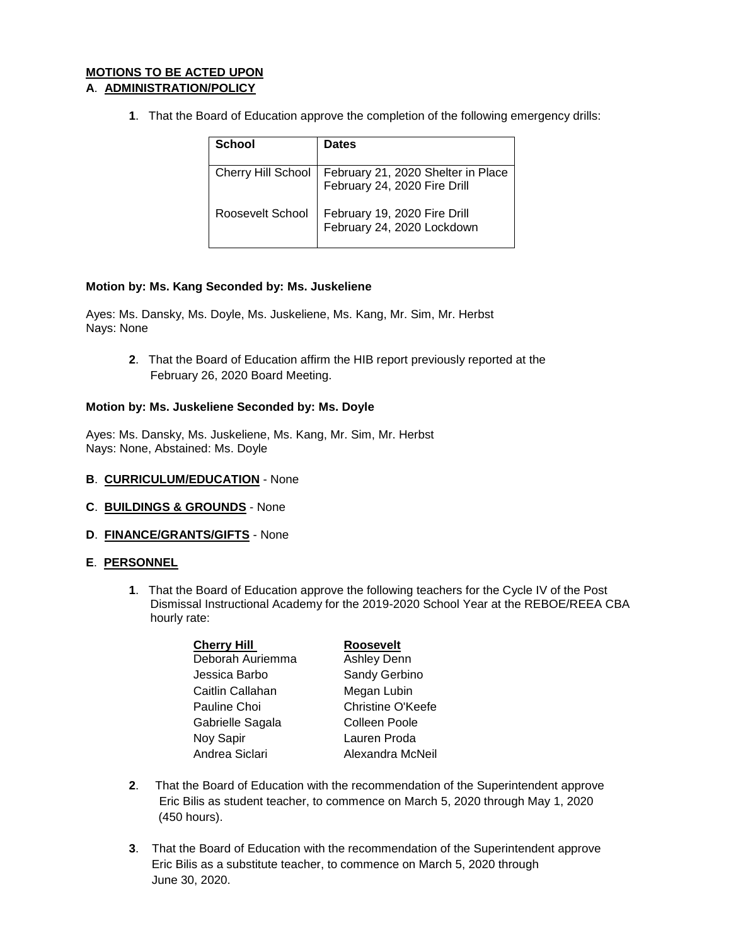## **MOTIONS TO BE ACTED UPON A**. **ADMINISTRATION/POLICY**

**1**. That the Board of Education approve the completion of the following emergency drills:

| School           | <b>Dates</b>                                                                           |
|------------------|----------------------------------------------------------------------------------------|
|                  | Cherry Hill School   February 21, 2020 Shelter in Place   February 24, 2020 Fire Drill |
| Roosevelt School | February 19, 2020 Fire Drill<br>February 24, 2020 Lockdown                             |

## **Motion by: Ms. Kang Seconded by: Ms. Juskeliene**

Ayes: Ms. Dansky, Ms. Doyle, Ms. Juskeliene, Ms. Kang, Mr. Sim, Mr. Herbst Nays: None

> **2**. That the Board of Education affirm the HIB report previously reported at the February 26, 2020 Board Meeting.

## **Motion by: Ms. Juskeliene Seconded by: Ms. Doyle**

Ayes: Ms. Dansky, Ms. Juskeliene, Ms. Kang, Mr. Sim, Mr. Herbst Nays: None, Abstained: Ms. Doyle

- **B**. **CURRICULUM/EDUCATION** None
- **C**. **BUILDINGS & GROUNDS** None
- **D**. **FINANCE/GRANTS/GIFTS** None

#### **E**. **PERSONNEL**

**1**. That the Board of Education approve the following teachers for the Cycle IV of the Post Dismissal Instructional Academy for the 2019-2020 School Year at the REBOE/REEA CBA hourly rate:

| <b>Cherry Hill</b> | Roosevelt                |
|--------------------|--------------------------|
| Deborah Auriemma   | <b>Ashley Denn</b>       |
| Jessica Barbo      | Sandy Gerbino            |
| Caitlin Callahan   | Megan Lubin              |
| Pauline Choi       | <b>Christine O'Keefe</b> |
| Gabrielle Sagala   | Colleen Poole            |
| Noy Sapir          | Lauren Proda             |
| Andrea Siclari     | Alexandra McNeil         |
|                    |                          |

- **2**. That the Board of Education with the recommendation of the Superintendent approve Eric Bilis as student teacher, to commence on March 5, 2020 through May 1, 2020 (450 hours).
- **3**. That the Board of Education with the recommendation of the Superintendent approve Eric Bilis as a substitute teacher, to commence on March 5, 2020 through June 30, 2020.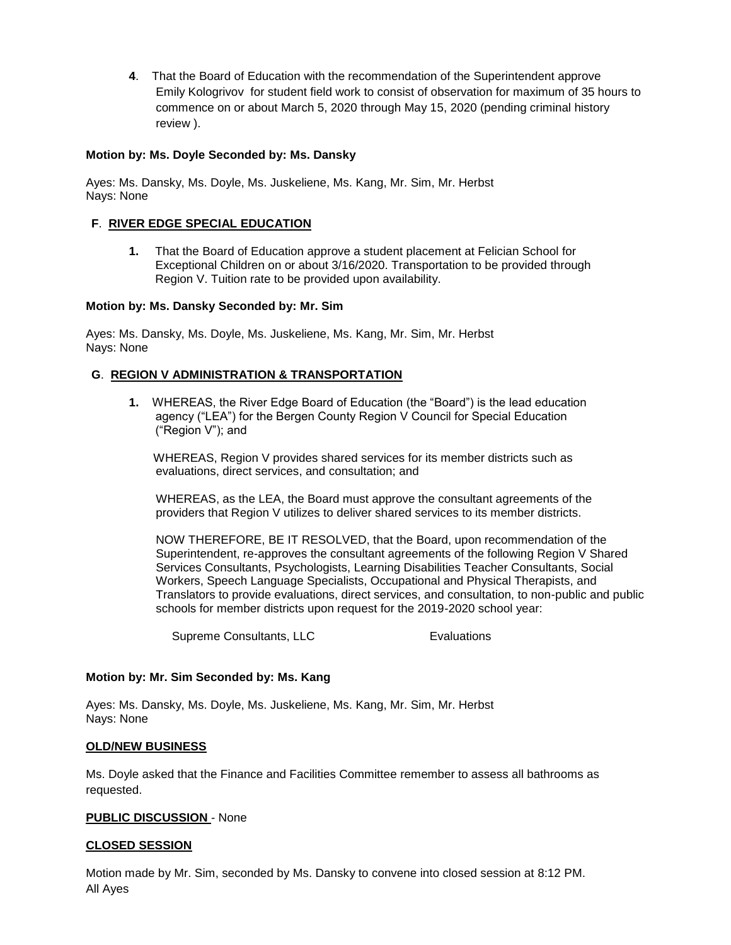**4**. That the Board of Education with the recommendation of the Superintendent approve Emily Kologrivov for student field work to consist of observation for maximum of 35 hours to commence on or about March 5, 2020 through May 15, 2020 (pending criminal history review ).

## **Motion by: Ms. Doyle Seconded by: Ms. Dansky**

Ayes: Ms. Dansky, Ms. Doyle, Ms. Juskeliene, Ms. Kang, Mr. Sim, Mr. Herbst Nays: None

## **F**. **RIVER EDGE SPECIAL EDUCATION**

**1.** That the Board of Education approve a student placement at Felician School for Exceptional Children on or about 3/16/2020. Transportation to be provided through Region V. Tuition rate to be provided upon availability.

#### **Motion by: Ms. Dansky Seconded by: Mr. Sim**

Ayes: Ms. Dansky, Ms. Doyle, Ms. Juskeliene, Ms. Kang, Mr. Sim, Mr. Herbst Nays: None

#### **G**. **REGION V ADMINISTRATION & TRANSPORTATION**

 **1.** WHEREAS, the River Edge Board of Education (the "Board") is the lead education agency ("LEA") for the Bergen County Region V Council for Special Education ("Region V"); and

WHEREAS, Region V provides shared services for its member districts such as evaluations, direct services, and consultation; and

WHEREAS, as the LEA, the Board must approve the consultant agreements of the providers that Region V utilizes to deliver shared services to its member districts.

NOW THEREFORE, BE IT RESOLVED, that the Board, upon recommendation of the Superintendent, re-approves the consultant agreements of the following Region V Shared Services Consultants, Psychologists, Learning Disabilities Teacher Consultants, Social Workers, Speech Language Specialists, Occupational and Physical Therapists, and Translators to provide evaluations, direct services, and consultation, to non-public and public schools for member districts upon request for the 2019-2020 school year:

Supreme Consultants, LLC Evaluations

#### **Motion by: Mr. Sim Seconded by: Ms. Kang**

Ayes: Ms. Dansky, Ms. Doyle, Ms. Juskeliene, Ms. Kang, Mr. Sim, Mr. Herbst Nays: None

#### **OLD/NEW BUSINESS**

Ms. Doyle asked that the Finance and Facilities Committee remember to assess all bathrooms as requested.

#### **PUBLIC DISCUSSION** - None

#### **CLOSED SESSION**

Motion made by Mr. Sim, seconded by Ms. Dansky to convene into closed session at 8:12 PM. All Ayes